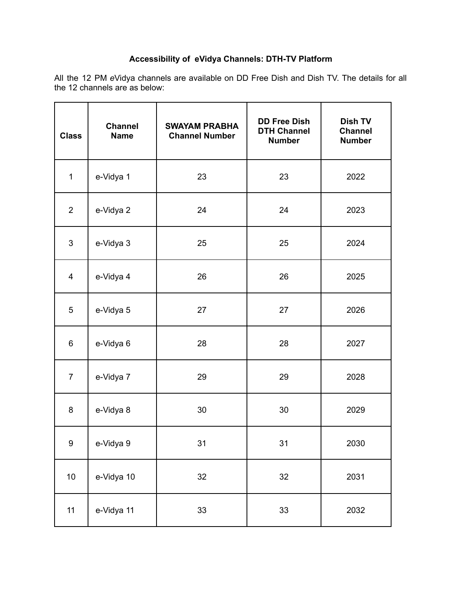# **Accessibility of eVidya Channels: DTH-TV Platform**

All the 12 PM *e*Vidya channels are available on DD Free Dish and Dish TV. The details for all the 12 channels are as below:

| <b>Class</b>   | <b>Channel</b><br><b>Name</b> | <b>SWAYAM PRABHA</b><br><b>Channel Number</b> | <b>DD Free Dish</b><br><b>DTH Channel</b><br><b>Number</b> | Dish TV<br><b>Channel</b><br><b>Number</b> |
|----------------|-------------------------------|-----------------------------------------------|------------------------------------------------------------|--------------------------------------------|
| $\mathbf{1}$   | e-Vidya 1                     | 23                                            | 23                                                         | 2022                                       |
| 2              | e-Vidya 2                     | 24                                            | 24                                                         | 2023                                       |
| $\mathbf{3}$   | e-Vidya 3                     | 25                                            | 25                                                         | 2024                                       |
| 4              | e-Vidya 4                     | 26                                            | 26                                                         | 2025                                       |
| 5              | e-Vidya 5                     | 27                                            | 27                                                         | 2026                                       |
| 6              | e-Vidya 6                     | 28                                            | 28                                                         | 2027                                       |
| $\overline{7}$ | e-Vidya 7                     | 29                                            | 29                                                         | 2028                                       |
| 8              | e-Vidya 8                     | 30                                            | 30                                                         | 2029                                       |
| 9              | e-Vidya 9                     | 31                                            | 31                                                         | 2030                                       |
| $10$           | e-Vidya 10                    | 32                                            | 32                                                         | 2031                                       |
| 11             | e-Vidya 11                    | 33                                            | 33                                                         | 2032                                       |